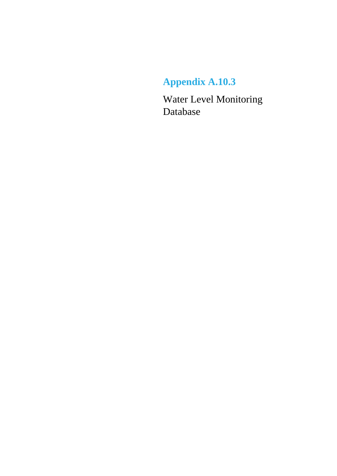## **Appendix A.10.3**

Water Level Monitoring Database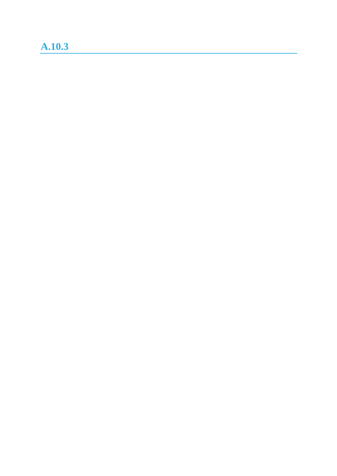## **A.10.3**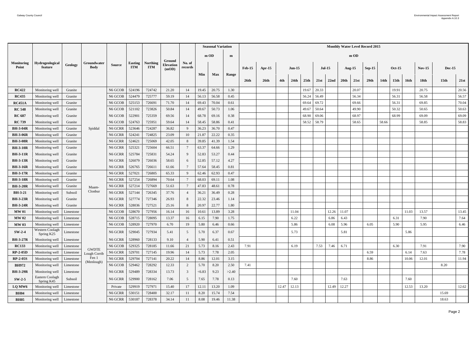|                            |                               |           |                            |                     |                              |                               |                           |                   |        | <b>Seasonal Variation</b> |       |               |                  |       |                  |       |          |       |       |               | <b>Monthly Water Level Record 2015</b> |                  |                  |       |                  |                  |       |
|----------------------------|-------------------------------|-----------|----------------------------|---------------------|------------------------------|-------------------------------|---------------------------|-------------------|--------|---------------------------|-------|---------------|------------------|-------|------------------|-------|----------|-------|-------|---------------|----------------------------------------|------------------|------------------|-------|------------------|------------------|-------|
|                            |                               |           |                            |                     |                              |                               | Ground                    |                   |        | $m$ OD                    | m     |               |                  |       |                  |       |          |       |       | $m$ OD        |                                        |                  |                  |       |                  |                  |       |
| <b>Monitoring</b><br>Point | Hydrogeological<br>feature    | Geology   | Groundwater<br><b>Body</b> | <b>Source</b>       | <b>Easting</b><br><b>ITM</b> | <b>Northing</b><br><b>ITM</b> | <b>Elevation</b><br>(mOD) | No. of<br>records |        |                           |       | <b>Feb-15</b> | Apr-15           |       | $Jun-15$         |       | $Jul-15$ |       |       | <b>Aug-15</b> | $Sep-15$                               |                  | <b>Oct-15</b>    |       | $Nov-15$         | <b>Dec-15</b>    |       |
|                            |                               |           |                            |                     |                              |                               |                           |                   | Min    | <b>Max</b>                | Range | <b>26th</b>   | 26 <sup>th</sup> | 4th   | 24 <sub>th</sub> | 25th  | 21st     | 22nd  | 20th  | 21st          | 29th                                   | 14 <sub>th</sub> | 15 <sub>th</sub> | 16th  | 18 <sub>th</sub> | 15 <sub>th</sub> | 21st  |
| <b>RC422</b>               | Monitoring well               | Granite   |                            | N6 GCOB             | 524196                       | 724742                        | 21.20                     | 14                | 19.45  | 20.75                     | 1.30  |               |                  |       |                  | 19.67 | 20.33    |       |       | 20.07         |                                        |                  | 19.91            |       | 20.75            |                  | 20.56 |
| <b>RC435</b>               | Monitoring well               | Granite   |                            | N6 GCOB             | 524479                       | 725777                        | 59.19                     | 14                | 56.13  | 56.58                     | 0.45  |               |                  |       |                  | 56.24 | 56.49    |       |       | 56.34         |                                        |                  | 56.31            |       | 56.58            |                  | 56.57 |
| <b>RC451A</b>              | Monitoring well               | Granite   |                            | N6 GCOB             | 525153                       | 726691                        | 71.70                     | 14                | 69.43  | 70.04                     | 0.61  |               |                  |       |                  | 69.64 | 69.72    |       |       | 69.66         |                                        |                  | 56.31            |       | 69.85            |                  | 70.04 |
| <b>RC 548</b>              | Monitoring well               | Granite   |                            | N6 GCOB             | 521102                       | 723826                        | 50.84                     | 14                | 49.67  | 50.73                     | 1.06  |               |                  |       |                  | 49.67 | 50.64    |       |       | 49.90         |                                        |                  | 50.32            |       | 50.65            |                  | 50.63 |
| <b>RC 687</b>              | Monitoring well               | Granite   |                            | N6 GCOB             | 522901                       | 725359                        | 69.56                     | 14                | 68.78  | 69.16                     | 0.38  |               |                  |       |                  | 68.90 | 69.06    |       |       | 68.97         |                                        |                  | 68.99            |       | 69.09            |                  | 69.09 |
| <b>RC 739</b>              | Monitoring well               | Granite   |                            | N6 GCOB             | 524763                       | 725951                        | 59.64                     | 14                | 58.45  | 58.86                     | 0.41  |               |                  |       |                  | 58.52 | 58.79    |       |       | 58.65         |                                        | 58.66            |                  |       | 58.85            |                  | 58.83 |
| <b>BH-3-04R</b>            | Monitoring well               | Granite   | Spiddal                    | N6 GCRR             | 523646                       | 724287                        | 36.82                     | -9                | 36.23  | 36.70                     | 0.47  |               |                  |       |                  |       |          |       |       |               |                                        |                  |                  |       |                  |                  |       |
| <b>BH-3-06R</b>            | Monitoring well               | Granite   |                            | N6 GCRR             | 524241                       | 724825                        | 23.09                     | 10                | 21.87  | 22.22                     | 0.35  |               |                  |       |                  |       |          |       |       |               |                                        |                  |                  |       |                  |                  |       |
| <b>BH-3-08R</b>            | Monitoring well               | Granite   |                            | N6 GCRR             | 524621                       | 725069                        | 42.05                     | 8                 | 39.85  | 41.39                     | 1.54  |               |                  |       |                  |       |          |       |       |               |                                        |                  |                  |       |                  |                  |       |
| <b>BH-3-10R</b>            | Monitoring well               | Granite   |                            | N6 GCRR             | 525321                       | 725604                        | 66.51                     |                   | 63.37  | 64.66                     | 1.29  |               |                  |       |                  |       |          |       |       |               |                                        |                  |                  |       |                  |                  |       |
| <b>BH-3-11R</b>            | Monitoring well               | Granite   |                            | N6 GCRR             | 525784                       | 725831                        | 54.24                     | 9                 | 52.83  | 53.27                     | 0.44  |               |                  |       |                  |       |          |       |       |               |                                        |                  |                  |       |                  |                  |       |
| <b>BH-3-13R</b>            | Monitoring well               | Granite   |                            | N <sub>6</sub> GCRR | 526079                       | 726036                        | 58.65                     | 6                 | 52.85  | 57.12                     | 4.27  |               |                  |       |                  |       |          |       |       |               |                                        |                  |                  |       |                  |                  |       |
| <b>BH-3-16R</b>            | Monitoring well               | Granite   |                            | N6 GCRR             | 526765                       | 726611                        | 61.66                     |                   | 57.64  | 58.45                     | 0.81  |               |                  |       |                  |       |          |       |       |               |                                        |                  |                  |       |                  |                  |       |
| <b>BH-3-17R</b>            | Monitoring well               | Granite   |                            | N6 GCRR             | 527021                       | 726805                        | 65.33                     | 9                 | 62.46  | 62.93                     | 0.47  |               |                  |       |                  |       |          |       |       |               |                                        |                  |                  |       |                  |                  |       |
| <b>BH-3-18R</b>            | Monitoring well               | Granite   |                            | N6 GCRR             | 527254                       | 726894                        | 70.64                     | $7\phantom{.0}$   | 68.03  | 69.11                     | 1.08  |               |                  |       |                  |       |          |       |       |               |                                        |                  |                  |       |                  |                  |       |
| <b>BH-3-20R</b>            | Monitoring well               | Granite   | Maam-                      | N6 GCRR             | 527214                       | 727669                        | 51.63                     |                   | 47.83  | 48.61                     | 0.78  |               |                  |       |                  |       |          |       |       |               |                                        |                  |                  |       |                  |                  |       |
| <b>BH-3-21</b>             | Monitoring well               | Subsoil   | Clonbur                    | N6 GCRR             | 527144                       | 726345                        | 37.76                     | $\overline{4}$    | 36.21  | 36.49                     | 0.28  |               |                  |       |                  |       |          |       |       |               |                                        |                  |                  |       |                  |                  |       |
| <b>BH-3-23R</b>            | Monitoring well               | Granite   |                            | N6 GCRR             | 527774                       | 727346                        | 26.93                     | 8                 | 22.32  | 23.46                     | 1.14  |               |                  |       |                  |       |          |       |       |               |                                        |                  |                  |       |                  |                  |       |
| <b>BH-3-24R</b>            | Monitoring well               | Granite   |                            | N6 GCRR             | 528036                       | 727521                        | 25.16                     | 8                 | 20.97  | 22.77                     | 1.80  |               |                  |       |                  |       |          |       |       |               |                                        |                  |                  |       |                  |                  |       |
| <b>MW 01</b>               | Monitoring well               | Limestone |                            | N6 GCOB             | 528670                       | 727956                        | 16.14                     | 16                | 10.61  | 13.89                     | 3.28  |               |                  |       | 11.04            |       |          | 12.26 | 11.07 |               |                                        |                  |                  | 11.03 | 13.57            |                  | 13.45 |
| <b>MW 02</b>               | Monitoring well               | Limestone |                            | N6 GCOB             | 528715                       | 728095                        | 13.37                     | 16                | 6.15   | 7.90                      | 1.75  |               |                  |       | 6.22             |       |          | 6.86  | 6.43  |               |                                        |                  | 6.31             |       | 7.90             |                  | 7.64  |
| <b>MW03</b>                | Monitoring well               | Limestone |                            | N6 GCOB             | 528920                       | 727970                        | 6.70                      | 19                | 5.80   | 6.46                      | 0.66  |               |                  |       | 5.86             |       |          | 6.08  | 5.96  |               | 6.05                                   |                  | 5.90             |       | 5.95             |                  | 6.46  |
| $SW-2-4$                   | Western Coolagh<br>Spring K25 | Limestone |                            | N6 GCRR             | 529045                       | 727934                        | 5.41                      | 5                 | 5.70   | 6.37                      | 0.67  |               |                  |       | 5.73             |       |          |       | 5.81  |               |                                        |                  |                  | 5.86  |                  |                  |       |
| <b>BH-3-27R</b>            | Monitoring well               | Limestone |                            | N6 GCRR             | 528960                       | 728133                        | 9.10                      | $\overline{4}$    | 5.90   | 6.41                      | 0.51  |               |                  |       |                  |       |          |       |       |               |                                        |                  |                  |       |                  |                  |       |
| <b>RC133</b>               | Monitoring well               | Limestone | <b>GWDTE</b>               | N6 GCOB             | 529325                       | 728185                        | 11.66                     | 21                | 5.73   | 8.16                      | 2.43  | 7.91          |                  |       | 6.19             |       | 7.53     | 7.46  | 6.71  |               |                                        |                  | 6.30             |       | 7.91             |                  | 7.90  |
| <b>RP-2-05D</b>            | Monitoring well               | Limestone | Lough Corrib               | N6 GCRR             | 529701                       | 727145                        | 19.96                     | 14                | 5.73   | 7.78                      | 2.05  |               |                  |       |                  |       |          |       |       |               | 6.59                                   |                  |                  | 6.14  | 7.63             |                  | 7.78  |
| <b>RP-2-05S</b>            | Monitoring well               | Limestone | Fen 1<br>(Menlough)        | N6 GCRR             | 529704                       | 727141                        | 20.22                     | 14                | 8.86   | 12.01                     | 3.15  |               |                  |       |                  |       |          |       |       |               | 8.86                                   |                  |                  | 10.06 | 12.01            |                  | 11.94 |
| <b>BH972</b>               | Monitoring well               | Limestone |                            | N6 GCOB             | 529462                       | 728292                        | 12.33                     | 2                 | 5.70   | 8.20                      | 2.50  | 7.41          |                  |       |                  |       |          |       |       |               |                                        |                  |                  |       |                  | 8.20             |       |
| <b>BH-3-29R</b>            | Monitoring well               | Limestone |                            | N6 GCRR             | 529489                       | 728334                        | 13.73                     | $\mathbf{3}$      | < 6.83 | 9.23                      | >2.40 |               |                  |       |                  |       |          |       |       |               |                                        |                  |                  |       |                  |                  |       |
| $SW-2-5$                   | Eastern Coolagh<br>Spring K45 | Subsoil   |                            | $N6$ GCRR $\,$      | 529900                       | 728162                        | 7.06                      | 5                 | 7.65   | 7.78                      | 0.13  |               |                  |       | 7.60             |       |          |       | 7.63  |               |                                        |                  |                  | 7.60  |                  |                  |       |
| LQ MW6                     | Monitoring well               | Limestone |                            | Private             | 529919                       | 727971                        | 15.40                     | 17                | 12.11  | 13.20                     | 1.09  |               |                  | 12.47 | 12.13            |       |          | 12.49 | 12.27 |               |                                        |                  |                  | 12.53 | 13.20            |                  | 12.62 |
| <b>BH04</b>                | Monitoring well               | Limestone |                            | N6 GCRR             | 530151                       | 728400                        | 32.17                     | 11                | 8.20   | 15.74                     | 7.54  |               |                  |       |                  |       |          |       |       |               |                                        |                  |                  |       |                  | 15.69            |       |
| <b>BH05</b>                | Monitoring well               | Limestone |                            | N6 GCRR             | 530187                       | 728378                        | 34.14                     | 11                | 8.08   | 19.46                     | 11.38 |               |                  |       |                  |       |          |       |       |               |                                        |                  |                  |       |                  | 18.63            |       |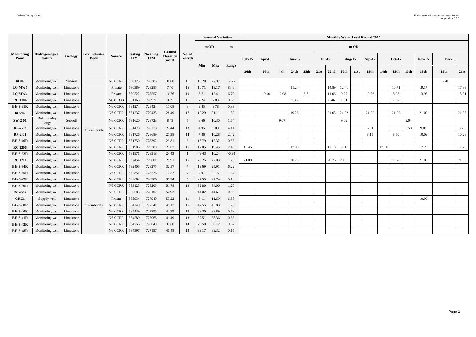|                            |                                   |                |                            |                |                              |                               |                           |                   |        | <b>Seasonal Variation</b> |       |                   |          |       |          |      |      |          |       |           | <b>Monthly Water Level Record 2015</b> |                  |                  |      |                  |                  |       |
|----------------------------|-----------------------------------|----------------|----------------------------|----------------|------------------------------|-------------------------------|---------------------------|-------------------|--------|---------------------------|-------|-------------------|----------|-------|----------|------|------|----------|-------|-----------|----------------------------------------|------------------|------------------|------|------------------|------------------|-------|
|                            |                                   |                |                            |                |                              |                               | Ground                    |                   |        | $m$ OD                    | m     |                   |          |       |          |      |      |          |       | $m$ OD    |                                        |                  |                  |      |                  |                  |       |
| <b>Monitoring</b><br>Point | <b>Hydrogeological</b><br>feature | <b>Geology</b> | Groundwater<br><b>Body</b> | <b>Source</b>  | <b>Easting</b><br><b>ITM</b> | <b>Northing</b><br><b>ITM</b> | <b>Elevation</b><br>(mOD) | No. of<br>records |        |                           |       | $\mathbf{Feb-15}$ | $Apr-15$ |       | $Jun-15$ |      |      | $Jul-15$ |       | Aug- $15$ | $Sep-15$                               |                  | <b>Oct-15</b>    |      | <b>Nov-15</b>    | <b>Dec-15</b>    |       |
|                            |                                   |                |                            |                |                              |                               |                           |                   | Min    | <b>Max</b>                | Range | 26 <sub>th</sub>  | 26th     | 4th   | 24th     | 25th | 21st | 22nd     | 20th  | 21st      | 29 <sub>th</sub>                       | 14 <sub>th</sub> | 15 <sub>th</sub> | 16th | 18 <sub>th</sub> | 15 <sub>th</sub> | 21st  |
| <b>BH06</b>                | Monitoring well                   | Subsoil        |                            | N6 GCRR        | 530125                       | 728383                        | 30.80                     | 11                | 15.20  | 27.97                     | 12.77 |                   |          |       |          |      |      |          |       |           |                                        |                  |                  |      |                  | 15.20            |       |
| LQ MW5                     | Monitoring well                   | Limestone      |                            | Private        | 530389                       | 728285                        | 7.40                      | 16                | 10.71  | 19.17                     | 8.46  |                   |          |       | 11.24    |      |      | 14.89    | 12.41 |           |                                        |                  | 10.71            |      | 19.17            |                  | 17.83 |
| LQ MW4                     | Monitoring well                   | Limestone      |                            | Private        | 530522                       | 728557                        | 16.76                     | 19                | 8.71   | 15.41                     | 6.70  |                   | 10.40    | 10.08 |          | 8.71 |      | 11.06    | 9.27  |           | 10.36                                  |                  | 8.93             |      | 13.93            |                  | 15.31 |
| <b>RC</b> 1104             | Monitoring well                   | Limestone      |                            | N6 GCOB        | 531165                       | 728927                        | 9.39                      | 11                | 7.24   | 7.83                      | 0.60  |                   |          |       | 7.36     |      |      | 8.46     | 7.91  |           |                                        |                  | 7.62             |      |                  |                  |       |
| <b>BH-3-31R</b>            | Monitoring well                   | Limestone      |                            | N6 GCRR        | 531274                       | 728424                        | 11.08                     | $\mathbf{3}$      | 9.45   | 9.78                      | 0.33  |                   |          |       |          |      |      |          |       |           |                                        |                  |                  |      |                  |                  |       |
| <b>RC206</b>               | Monitoring well                   | Limestone      |                            | N6 GCRR        | 531237                       | 729433                        | 28.49                     | 17                | 19.29  | 21.11                     | 1.82  |                   |          |       | 19.26    |      |      | 21.03    | 21.02 |           | 21.02                                  |                  | 21.02            |      | 21.09            |                  | 21.08 |
| $SW-2-01$                  | Ballindooley<br>Lough             | Subsoil        |                            | $N6$ GCRR $\,$ | 531620                       | 728723                        | 8.43                      | $5\overline{)}$   | 8.66   | 10.30                     | 1.64  |                   |          | 9.07  |          |      |      |          | 9.02  |           |                                        |                  |                  | 9.04 |                  |                  |       |
| $RP-2-03$                  | Monitoring well                   | Limestone      | Clare Corrib               | N6 GCRR        | 531478                       | 728278                        | 22.44                     | 13                | 4.95   | 9.09                      | 4.14  |                   |          |       |          |      |      |          |       |           | 6.51                                   |                  |                  | 5.50 | 9.09             |                  | 8.26  |
| $RP-2-01$                  | Monitoring well                   | Limestone      |                            | N6 GCRR        | 531726                       | 728689                        | 21.38                     | 14                | 7.86   | 10.28                     | 2.42  |                   |          |       |          |      |      |          |       |           | 8.15                                   |                  | 8.50             |      | 10.09            |                  | 10.28 |
| <b>BH-3-46R</b>            | Monitoring well                   | Limestone      |                            | N6 GCRR        | 531750                       | 728392                        | 29.81                     | 8                 | 16.79  | 17.32                     | 0.53  |                   |          |       |          |      |      |          |       |           |                                        |                  |                  |      |                  |                  |       |
| <b>RC</b> 1206             | Monitoring well                   | Limestone      |                            | N6 GCRR        | 531986                       | 729388                        | 27.67                     | 16                | 17.05  | 19.45                     | 2.40  | 19.45             |          |       | 17.08    |      |      | 17.18    | 17.11 |           |                                        | 17.10            |                  |      | 17.25            |                  | 17.25 |
| <b>BH-3-32R</b>            | Monitoring well                   | Limestone      |                            | N6 GCRR        | 531971                       | 728318                        | 24.43                     | $\overline{1}$    | < 9.43 | 10.24                     | >0.81 |                   |          |       |          |      |      |          |       |           |                                        |                  |                  |      |                  |                  |       |
| <b>RC</b> 1211             | Monitoring well                   | Limestone      |                            | N6 GCRR        | 532454                       | 729601                        | 25.91                     | 15                | 20.25  | 22.03                     | 1.78  | 21.09             |          |       | 20.25    |      |      | 20.76    | 20.51 |           |                                        |                  | 20.28            |      | 21.05            |                  | 21.03 |
| <b>BH-3-34R</b>            | Monitoring well                   | Limestone      |                            | N6 GCRR        | 532405                       | 728275                        | 32.57                     | $7\phantom{.0}$   | 19.69  | 25.91                     | 6.22  |                   |          |       |          |      |      |          |       |           |                                        |                  |                  |      |                  |                  |       |
| <b>BH-3-35R</b>            | Monitoring well                   | Limestone      |                            | N6 GCRR        | 532851                       | 728226                        | 17.52                     | $7\phantom{.0}$   | 7.91   | 9.15                      | 1.24  |                   |          |       |          |      |      |          |       |           |                                        |                  |                  |      |                  |                  |       |
| <b>BH-3-47R</b>            | Monitoring well                   | Limestone      |                            | N6 GCRR        | 533062                       | 728286                        | 37.74                     | $5\overline{)}$   | 27.55  | 27.74                     | 0.19  |                   |          |       |          |      |      |          |       |           |                                        |                  |                  |      |                  |                  |       |
| <b>BH-3-36R</b>            | Monitoring well                   | Limestone      |                            | N6 GCRR        | 533125                       | 728205                        | 51.78                     | 13                | 32.80  | 34.00                     | 1.20  |                   |          |       |          |      |      |          |       |           |                                        |                  |                  |      |                  |                  |       |
| $RC-2-02$                  | Monitoring well                   | Limestone      |                            | N6 GCRR        | 533685                       | 728102                        | 54.92                     | 5 <sup>5</sup>    | 44.02  | 44.61                     | 0.59  |                   |          |       |          |      |      |          |       |           |                                        |                  |                  |      |                  |                  |       |
| GRC1                       | Supply well                       | Limestone      |                            | Private        | 533934                       | 727949                        | 53.22                     | 11                | 5.11   | 11.69                     | 6.58  |                   |          |       |          |      |      |          |       |           |                                        |                  |                  |      | 10.99            |                  |       |
| <b>BH-3-38R</b>            | Monitoring well                   | Limestone      | Clarinbridge               | N6 GCRR        | 534249                       | 727541                        | 45.17                     | 15                | 42.55  | 43.83                     | 1.28  |                   |          |       |          |      |      |          |       |           |                                        |                  |                  |      |                  |                  |       |
| <b>BH-3-40R</b>            | Monitoring well                   | Limestone      |                            | N6 GCRR        | 534439                       | 727295                        | 42.39                     | 13                | 39.30  | 39.89                     | 0.59  |                   |          |       |          |      |      |          |       |           |                                        |                  |                  |      |                  |                  |       |
| <b>BH-3-41R</b>            | Monitoring well                   | Limestone      |                            | N6 GCRR        | 534580                       | 727065                        | 41.49                     | 13                | 37.51  | 38.36                     | 0.85  |                   |          |       |          |      |      |          |       |           |                                        |                  |                  |      |                  |                  |       |
| <b>BH-3-42R</b>            | Monitoring well                   | Limestone      |                            | N6 GCRR        | 534756                       | 726840                        | 32.60                     | 14                | 29.50  | 30.12                     | 0.62  |                   |          |       |          |      |      |          |       |           |                                        |                  |                  |      |                  |                  |       |
| <b>BH-3-48R</b>            | Monitoring well                   | Limestone      |                            | N6 GCRR        | 534397                       | 727197                        | 40.48                     | 13                | 39.17  | 39.32                     | 0.15  |                   |          |       |          |      |      |          |       |           |                                        |                  |                  |      |                  |                  |       |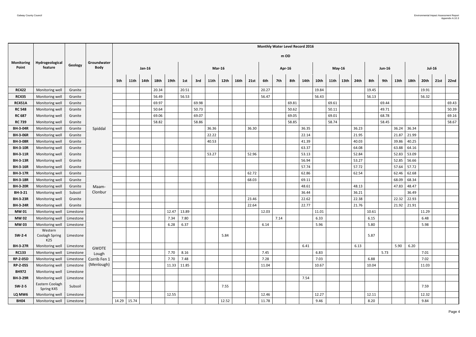|                            |                                  |           |                            |     |             |               |             |       |       |       |                     |      |       |       |        |       | <b>Monthly Water Level Record 2016</b> |       |               |                  |       |       |               |       |       |               |      |       |
|----------------------------|----------------------------------|-----------|----------------------------|-----|-------------|---------------|-------------|-------|-------|-------|---------------------|------|-------|-------|--------|-------|----------------------------------------|-------|---------------|------------------|-------|-------|---------------|-------|-------|---------------|------|-------|
|                            |                                  |           |                            |     |             |               |             |       |       |       |                     |      |       |       | m OD   |       |                                        |       |               |                  |       |       |               |       |       |               |      |       |
| <b>Monitoring</b><br>Point | Hydrogeological<br>feature       | Geology   | Groundwater<br><b>Body</b> |     |             | <b>Jan-16</b> |             |       |       |       | $Mar-16$            |      |       |       | Apr-16 |       |                                        |       | <b>May-16</b> |                  |       |       | <b>Jun-16</b> |       |       | <b>Jul-16</b> |      |       |
|                            |                                  |           |                            | 5th | <b>11th</b> | 14th          | <b>18th</b> | 19th  | 1st   | 3rd   | <b>11th</b><br>12th | 16th | 21st  | 6th   | 7th    | 8th   | <b>14th</b>                            | 10th  | 11th          | 13 <sub>th</sub> | 24th  | 8th   | 9th           | 13th  | 18th  | 20th          | 21st | 22nd  |
| <b>RC422</b>               | Monitoring well                  | Granite   |                            |     |             |               | 20.34       |       | 20.51 |       |                     |      |       | 20.27 |        |       |                                        | 19.84 |               |                  |       | 19.45 |               |       |       | 19.91         |      |       |
| <b>RC435</b>               | Monitoring well                  | Granite   |                            |     |             |               | 56.49       |       | 56.53 |       |                     |      |       | 56.47 |        |       |                                        | 56.43 |               |                  |       | 56.13 |               |       |       | 56.32         |      |       |
| <b>RC451A</b>              | Monitoring well                  | Granite   |                            |     |             |               | 69.97       |       |       | 69.98 |                     |      |       |       |        | 69.81 |                                        |       | 69.61         |                  |       |       | 69.44         |       |       |               |      | 69.43 |
| <b>RC 548</b>              | Monitoring well                  | Granite   |                            |     |             |               | 50.64       |       |       | 50.73 |                     |      |       |       |        | 50.62 |                                        |       | 50.11         |                  |       |       | 49.71         |       |       |               |      | 50.39 |
| <b>RC 687</b>              | Monitoring well                  | Granite   |                            |     |             |               | 69.06       |       |       | 69.07 |                     |      |       |       |        | 69.05 |                                        |       | 69.01         |                  |       |       | 68.78         |       |       |               |      | 69.16 |
| <b>RC 739</b>              | Monitoring well                  | Granite   |                            |     |             |               | 58.82       |       |       | 58.86 |                     |      |       |       |        | 58.85 |                                        |       | 58.74         |                  |       |       | 58.45         |       |       |               |      | 58.67 |
| <b>BH-3-04R</b>            | Monitoring well                  | Granite   | Spiddal                    |     |             |               |             |       |       |       | 36.36               |      | 36.30 |       |        |       | 36.35                                  |       |               |                  | 36.23 |       |               | 36.24 | 36.34 |               |      |       |
| <b>BH-3-06R</b>            | Monitoring well                  | Granite   |                            |     |             |               |             |       |       |       | 22.22               |      |       |       |        |       | 22.14                                  |       |               |                  | 21.95 |       |               | 21.87 | 21.99 |               |      |       |
| <b>BH-3-08R</b>            | Monitoring well                  | Granite   |                            |     |             |               |             |       |       |       | 40.53               |      |       |       |        |       | 41.39                                  |       |               |                  | 40.03 |       |               | 39.86 | 40.25 |               |      |       |
| <b>BH-3-10R</b>            | Monitoring well                  | Granite   |                            |     |             |               |             |       |       |       |                     |      |       |       |        |       | 63.37                                  |       |               |                  | 64.08 |       |               | 63.88 | 64.16 |               |      |       |
| <b>BH-3-11R</b>            | Monitoring well                  | Granite   |                            |     |             |               |             |       |       |       | 53.27               |      | 52.96 |       |        |       | 53.13                                  |       |               |                  | 52.84 |       |               | 52.83 | 53.09 |               |      |       |
| <b>BH-3-13R</b>            | Monitoring well                  | Granite   |                            |     |             |               |             |       |       |       |                     |      |       |       |        |       | 56.94                                  |       |               |                  | 53.27 |       |               | 52.85 | 56.66 |               |      |       |
| <b>BH-3-16R</b>            | Monitoring well                  | Granite   |                            |     |             |               |             |       |       |       |                     |      |       |       |        |       | 57.74                                  |       |               |                  | 57.72 |       |               | 57.64 | 57.72 |               |      |       |
| <b>BH-3-17R</b>            | Monitoring well                  | Granite   |                            |     |             |               |             |       |       |       |                     |      | 62.72 |       |        |       | 62.86                                  |       |               |                  | 62.54 |       |               | 62.46 | 62.68 |               |      |       |
| <b>BH-3-18R</b>            | Monitoring well                  | Granite   |                            |     |             |               |             |       |       |       |                     |      | 68.03 |       |        |       | 69.11                                  |       |               |                  |       |       |               | 68.09 | 68.34 |               |      |       |
| <b>BH-3-20R</b>            | Monitoring well                  | Granite   | Maam-                      |     |             |               |             |       |       |       |                     |      |       |       |        |       | 48.61                                  |       |               |                  | 48.13 |       |               | 47.83 | 48.47 |               |      |       |
| <b>BH-3-21</b>             | Monitoring well                  | Subsoil   | Clonbur                    |     |             |               |             |       |       |       |                     |      |       |       |        |       | 36.44                                  |       |               |                  | 36.21 |       |               |       | 36.49 |               |      |       |
| <b>BH-3-23R</b>            | Monitoring well                  | Granite   |                            |     |             |               |             |       |       |       |                     |      | 23.46 |       |        |       | 22.62                                  |       |               |                  | 22.38 |       |               | 22.32 | 22.93 |               |      |       |
| <b>BH-3-24R</b>            | Monitoring well                  | Granite   |                            |     |             |               |             |       |       |       |                     |      | 22.64 |       |        |       | 22.77                                  |       |               |                  | 21.76 |       |               | 21.92 | 21.91 |               |      |       |
| <b>MW01</b>                | Monitoring well                  | Limestone |                            |     |             |               |             | 12.47 | 13.89 |       |                     |      |       | 12.03 |        |       |                                        | 11.01 |               |                  |       | 10.61 |               |       |       | 11.29         |      |       |
| <b>MW02</b>                | Monitoring well                  | Limestone |                            |     |             |               |             | 7.34  | 7.80  |       |                     |      |       |       | 7.14   |       |                                        | 6.33  |               |                  |       | 6.15  |               |       |       | 6.48          |      |       |
| <b>MW03</b>                | Monitoring well   Limestone      |           |                            |     |             |               |             | 6.28  | 6.37  |       |                     |      |       | 6.14  |        |       |                                        | 5.96  |               |                  |       | 5.80  |               |       |       | 5.98          |      |       |
| $SW-2-4$                   | Western<br>Coolagh Spring<br>K25 | Limestone |                            |     |             |               |             |       |       |       | 5.84                |      |       |       |        |       |                                        |       |               |                  |       | 5.87  |               |       |       |               |      |       |
| <b>BH-3-27R</b>            | Monitoring well                  | Limestone | <b>GWDTE</b>               |     |             |               |             |       |       |       |                     |      |       |       |        |       | 6.41                                   |       |               |                  | 6.13  |       |               | 5.90  | 6.20  |               |      |       |
| <b>RC133</b>               | Monitoring well   Limestone      |           | Lough                      |     |             |               |             | 7.70  | 8.16  |       |                     |      |       | 7.45  |        |       |                                        | 6.83  |               |                  |       |       | 5.73          |       |       | 7.01          |      |       |
| <b>RP-2-05D</b>            | Monitoring well   Limestone      |           | Corrib Fen 1               |     |             |               |             | 7.70  | 7.48  |       |                     |      |       | 7.28  |        |       |                                        | 7.03  |               |                  |       | 6.88  |               |       |       | 7.02          |      |       |
| <b>RP-2-05S</b>            | Monitoring well                  | Limestone | (Menlough)                 |     |             |               |             | 11.33 | 11.85 |       |                     |      |       | 11.04 |        |       |                                        | 10.67 |               |                  |       | 10.04 |               |       |       | 11.03         |      |       |
| <b>BH972</b>               | Monitoring well                  | Limestone |                            |     |             |               |             |       |       |       |                     |      |       |       |        |       |                                        |       |               |                  |       |       |               |       |       |               |      |       |
| <b>BH-3-29R</b>            | Monitoring well                  | Limestone |                            |     |             |               |             |       |       |       |                     |      |       |       |        |       | 7.54                                   |       |               |                  |       |       |               |       |       |               |      |       |
| $SW-2-5$                   | Eastern Coolagh<br>Spring K45    | Subsoil   |                            |     |             |               |             |       |       |       | 7.55                |      |       |       |        |       |                                        |       |               |                  |       |       |               |       |       | 7.59          |      |       |
| LQ MW6                     | Monitoring well                  | Limestone |                            |     |             |               |             | 12.55 |       |       |                     |      |       | 12.46 |        |       |                                        | 12.27 |               |                  |       | 12.11 |               |       |       | 12.32         |      |       |
| <b>BH04</b>                | Monitoring well                  | Limestone |                            |     | 14.29 15.74 |               |             |       |       |       | 12.52               |      |       | 11.78 |        |       |                                        | 9.46  |               |                  |       | 8.20  |               |       |       | 9.84          |      |       |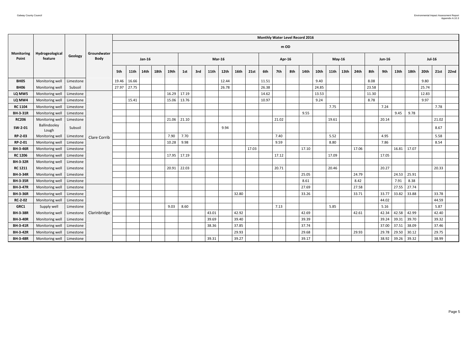|                            |                            |           |                            |       |             |               |             |       |       |     |             |       |             |             | <b>Monthly Water Level Record 2016</b> |        |     |       |       |               |                  |       |       |               |                  |             |               |             |      |
|----------------------------|----------------------------|-----------|----------------------------|-------|-------------|---------------|-------------|-------|-------|-----|-------------|-------|-------------|-------------|----------------------------------------|--------|-----|-------|-------|---------------|------------------|-------|-------|---------------|------------------|-------------|---------------|-------------|------|
|                            |                            |           |                            |       |             |               |             |       |       |     |             |       |             |             |                                        | $m$ OD |     |       |       |               |                  |       |       |               |                  |             |               |             |      |
| <b>Monitoring</b><br>Point | Hydrogeological<br>feature | Geology   | Groundwater<br><b>Body</b> |       |             | <b>Jan-16</b> |             |       |       |     | $Mar-16$    |       |             |             |                                        | Apr-16 |     |       |       | <b>May-16</b> |                  |       |       | <b>Jun-16</b> |                  |             | <b>Jul-16</b> |             |      |
|                            |                            |           |                            | 5th   | <b>11th</b> | <b>14th</b>   | <b>18th</b> | 19th  | 1st   | 3rd | <b>11th</b> | 12th  | <b>16th</b> | <b>21st</b> | 6th                                    | 7th    | 8th | 14th  | 10th  | 11th          | 13 <sub>th</sub> | 24th  | 8th   | 9th           | 13 <sup>th</sup> | <b>18th</b> | 20th          | <b>21st</b> | 22nd |
| <b>BH05</b>                | Monitoring well            | Limestone |                            | 19.46 | 16.66       |               |             |       |       |     |             | 12.44 |             |             | 11.51                                  |        |     |       | 9.40  |               |                  |       | 8.08  |               |                  |             | 9.80          |             |      |
| <b>BH06</b>                | Monitoring well            | Subsoil   |                            | 27.97 | 27.75       |               |             |       |       |     |             | 26.78 |             |             | 26.38                                  |        |     |       | 24.85 |               |                  |       | 23.58 |               |                  |             | 25.74         |             |      |
| LQ MW5                     | Monitoring well            | Limestone |                            |       |             |               |             | 16.29 | 17.19 |     |             |       |             |             | 14.62                                  |        |     |       | 13.53 |               |                  |       | 11.30 |               |                  |             | 12.83         |             |      |
| LQ MW4                     | Monitoring well            | Limestone |                            |       | 15.41       |               |             | 15.06 | 13.76 |     |             |       |             |             | 10.97                                  |        |     |       | 9.24  |               |                  |       | 8.78  |               |                  |             | 9.97          |             |      |
| <b>RC 1104</b>             | Monitoring well            | Limestone |                            |       |             |               |             |       |       |     |             |       |             |             |                                        |        |     |       |       | 7.75          |                  |       |       | 7.24          |                  |             |               | 7.78        |      |
| <b>BH-3-31R</b>            | Monitoring well            | Limestone |                            |       |             |               |             |       |       |     |             |       |             |             |                                        |        |     | 9.55  |       |               |                  |       |       |               | 9.45             | 9.78        |               |             |      |
| <b>RC206</b>               | Monitoring well            | Limestone |                            |       |             |               |             | 21.06 | 21.10 |     |             |       |             |             |                                        | 21.02  |     |       |       | 19.61         |                  |       |       | 20.14         |                  |             |               | 21.02       |      |
| SW-2-01                    | Ballindooley<br>Lough      | Subsoil   |                            |       |             |               |             |       |       |     |             | 9.94  |             |             |                                        |        |     |       |       |               |                  |       |       |               |                  |             |               | 8.67        |      |
| RP-2-03                    | Monitoring well            | Limestone | Clare Corrib               |       |             |               |             | 7.90  | 7.70  |     |             |       |             |             |                                        | 7.40   |     |       |       | 5.52          |                  |       |       | 4.95          |                  |             |               | 5.58        |      |
| RP-2-01                    | Monitoring well            | Limestone |                            |       |             |               |             | 10.28 | 9.98  |     |             |       |             |             |                                        | 9.59   |     |       |       | 8.80          |                  |       |       | 7.86          |                  |             |               | 8.54        |      |
| <b>BH-3-46R</b>            | Monitoring well            | Limestone |                            |       |             |               |             |       |       |     |             |       |             | 17.03       |                                        |        |     | 17.10 |       |               |                  | 17.06 |       |               | 16.81   17.07    |             |               |             |      |
| <b>RC 1206</b>             | Monitoring well            | Limestone |                            |       |             |               |             | 17.95 | 17.19 |     |             |       |             |             |                                        | 17.12  |     |       |       | 17.09         |                  |       |       | 17.05         |                  |             |               |             |      |
| <b>BH-3-32R</b>            | Monitoring well            | Limestone |                            |       |             |               |             |       |       |     |             |       |             |             |                                        |        |     |       |       |               |                  |       |       |               |                  |             |               |             |      |
| <b>RC 1211</b>             | Monitoring well            | Limestone |                            |       |             |               |             | 20.91 | 22.03 |     |             |       |             |             |                                        | 20.71  |     |       |       | 20.46         |                  |       |       | 20.27         |                  |             |               | 20.33       |      |
| <b>BH-3-34R</b>            | Monitoring well            | Limestone |                            |       |             |               |             |       |       |     |             |       |             |             |                                        |        |     | 25.05 |       |               |                  | 24.79 |       |               | 24.53            | 25.91       |               |             |      |
| <b>BH-3-35R</b>            | Monitoring well            | Limestone |                            |       |             |               |             |       |       |     |             |       |             |             |                                        |        |     | 8.61  |       |               |                  | 8.42  |       |               | 7.91             | 8.38        |               |             |      |
| <b>BH-3-47R</b>            | Monitoring well            | Limestone |                            |       |             |               |             |       |       |     |             |       |             |             |                                        |        |     | 27.69 |       |               |                  | 27.58 |       |               | 27.55            | 27.74       |               |             |      |
| <b>BH-3-36R</b>            | Monitoring well            | Limestone |                            |       |             |               |             |       |       |     |             |       | 32.80       |             |                                        |        |     | 33.26 |       |               |                  | 33.71 |       | 33.77         | 33.82 33.88      |             |               | 33.78       |      |
| <b>RC-2-02</b>             | Monitoring well            | Limestone |                            |       |             |               |             |       |       |     |             |       |             |             |                                        |        |     |       |       |               |                  |       |       | 44.02         |                  |             |               | 44.59       |      |
| GRC1                       | Supply well                | Limestone |                            |       |             |               |             | 9.03  | 8.60  |     |             |       |             |             |                                        | 7.13   |     |       |       | 5.85          |                  |       |       | 5.16          |                  |             |               | 5.87        |      |
| <b>BH-3-38R</b>            | Monitoring well            | Limestone | Clarinbridge               |       |             |               |             |       |       |     | 43.01       |       | 42.92       |             |                                        |        |     | 42.69 |       |               |                  | 42.61 |       | 42.34         | 42.58            | 42.99       |               | 42.40       |      |
| <b>BH-3-40R</b>            | Monitoring well            | Limestone |                            |       |             |               |             |       |       |     | 39.69       |       | 39.40       |             |                                        |        |     | 39.39 |       |               |                  |       |       | 39.24         | 39.31            | 39.70       |               | 39.32       |      |
| <b>BH-3-41R</b>            | Monitoring well            | Limestone |                            |       |             |               |             |       |       |     | 38.36       |       | 37.85       |             |                                        |        |     | 37.74 |       |               |                  |       |       | 37.00         | 37.51            | 38.09       |               | 37.46       |      |
| <b>BH-3-42R</b>            | Monitoring well            | Limestone |                            |       |             |               |             |       |       |     |             |       | 29.93       |             |                                        |        |     | 29.68 |       |               |                  | 29.93 |       | 29.78         | 29.50            | 30.12       |               | 29.75       |      |
| <b>BH-3-48R</b>            | Monitoring well            | Limestone |                            |       |             |               |             |       |       |     | 39.31       |       | 39.27       |             |                                        |        |     | 39.17 |       |               |                  |       |       | 38.92         | 39.26            | 39.32       |               | 38.99       |      |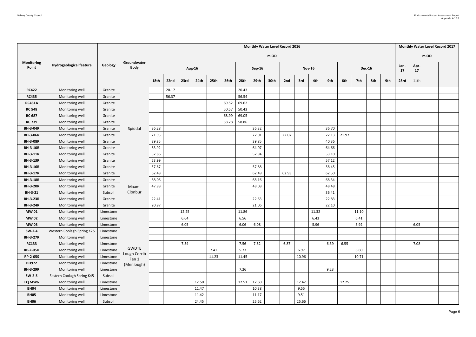|                            |                                |           |                              |       |       |               |                  |       |       |       |               | <b>Monthly Water Level Record 2016</b> |       |               |       |       |       |       |               |     |            |            |        | <b>Monthly Water Level Record 2017</b> |
|----------------------------|--------------------------------|-----------|------------------------------|-------|-------|---------------|------------------|-------|-------|-------|---------------|----------------------------------------|-------|---------------|-------|-------|-------|-------|---------------|-----|------------|------------|--------|----------------------------------------|
|                            |                                |           |                              |       |       |               |                  |       |       |       |               | m OD                                   |       |               |       |       |       |       |               |     |            |            | $m$ OD |                                        |
| <b>Monitoring</b><br>Point | <b>Hydrogeological feature</b> | Geology   | Groundwater<br><b>Body</b>   |       |       | <b>Aug-16</b> |                  |       |       |       | <b>Sep-16</b> |                                        |       | <b>Nov-16</b> |       |       |       |       | <b>Dec-16</b> |     | Jan-<br>17 | Apr-<br>17 |        |                                        |
|                            |                                |           |                              | 18th  | 22nd  | 23rd          | 24 <sub>th</sub> | 25th  | 26th  | 28th  | 29th          | 30th                                   | 2nd   | 3rd           | 4th   | 9th   | 6th   | 7th   | 8th           | 9th | 23rd       | 11th       |        |                                        |
| <b>RC422</b>               | Monitoring well                | Granite   |                              |       | 20.17 |               |                  |       |       | 20.43 |               |                                        |       |               |       |       |       |       |               |     |            |            |        |                                        |
| <b>RC435</b>               | Monitoring well                | Granite   |                              |       | 56.37 |               |                  |       |       | 56.54 |               |                                        |       |               |       |       |       |       |               |     |            |            |        |                                        |
| <b>RC451A</b>              | Monitoring well                | Granite   |                              |       |       |               |                  |       | 69.52 | 69.62 |               |                                        |       |               |       |       |       |       |               |     |            |            |        |                                        |
| <b>RC 548</b>              | Monitoring well                | Granite   |                              |       |       |               |                  |       | 50.57 | 50.43 |               |                                        |       |               |       |       |       |       |               |     |            |            |        |                                        |
| <b>RC 687</b>              | Monitoring well                | Granite   |                              |       |       |               |                  |       | 68.99 | 69.05 |               |                                        |       |               |       |       |       |       |               |     |            |            |        |                                        |
| <b>RC 739</b>              | Monitoring well                | Granite   |                              |       |       |               |                  |       | 58.78 | 58.86 |               |                                        |       |               |       |       |       |       |               |     |            |            |        |                                        |
| <b>BH-3-04R</b>            | Monitoring well                | Granite   | Spiddal                      | 36.28 |       |               |                  |       |       |       | 36.32         |                                        |       |               |       | 36.70 |       |       |               |     |            |            |        |                                        |
| <b>BH-3-06R</b>            | Monitoring well                | Granite   |                              | 21.95 |       |               |                  |       |       |       | 22.01         |                                        | 22.07 |               |       | 22.13 | 21.97 |       |               |     |            |            |        |                                        |
| <b>BH-3-08R</b>            | Monitoring well                | Granite   |                              | 39.85 |       |               |                  |       |       |       | 39.85         |                                        |       |               |       | 40.36 |       |       |               |     |            |            |        |                                        |
| <b>BH-3-10R</b>            | Monitoring well                | Granite   |                              | 63.92 |       |               |                  |       |       |       | 64.07         |                                        |       |               |       | 64.66 |       |       |               |     |            |            |        |                                        |
| <b>BH-3-11R</b>            | Monitoring well                | Granite   |                              | 52.86 |       |               |                  |       |       |       | 52.94         |                                        |       |               |       | 53.10 |       |       |               |     |            |            |        |                                        |
| <b>BH-3-13R</b>            | Monitoring well                | Granite   |                              | 53.99 |       |               |                  |       |       |       |               |                                        |       |               |       | 57.12 |       |       |               |     |            |            |        |                                        |
| <b>BH-3-16R</b>            | Monitoring well                | Granite   |                              | 57.67 |       |               |                  |       |       |       | 57.88         |                                        |       |               |       | 58.45 |       |       |               |     |            |            |        |                                        |
| <b>BH-3-17R</b>            | Monitoring well                | Granite   |                              | 62.48 |       |               |                  |       |       |       | 62.49         |                                        | 62.93 |               |       | 62.50 |       |       |               |     |            |            |        |                                        |
| <b>BH-3-18R</b>            | Monitoring well                | Granite   |                              | 68.06 |       |               |                  |       |       |       | 68.16         |                                        |       |               |       | 68.34 |       |       |               |     |            |            |        |                                        |
| <b>BH-3-20R</b>            | Monitoring well                | Granite   | Maam-                        | 47.98 |       |               |                  |       |       |       | 48.08         |                                        |       |               |       | 48.48 |       |       |               |     |            |            |        |                                        |
| <b>BH-3-21</b>             | Monitoring well                | Subsoil   | Clonbur                      |       |       |               |                  |       |       |       |               |                                        |       |               |       | 36.41 |       |       |               |     |            |            |        |                                        |
| <b>BH-3-23R</b>            | Monitoring well                | Granite   |                              | 22.41 |       |               |                  |       |       |       | 22.63         |                                        |       |               |       | 22.83 |       |       |               |     |            |            |        |                                        |
| <b>BH-3-24R</b>            | Monitoring well                | Granite   |                              | 20.97 |       |               |                  |       |       |       | 21.06         |                                        |       |               |       | 22.10 |       |       |               |     |            |            |        |                                        |
| <b>MW01</b>                | Monitoring well                | Limestone |                              |       |       | 12.25         |                  |       |       | 11.86 |               |                                        |       |               | 11.32 |       |       | 11.10 |               |     |            |            |        |                                        |
| <b>MW02</b>                | Monitoring well                | Limestone |                              |       |       | 6.64          |                  |       |       | 6.56  |               |                                        |       |               | 6.43  |       |       | 6.41  |               |     |            |            |        |                                        |
| <b>MW03</b>                | Monitoring well                | Limestone |                              |       |       | 6.05          |                  |       |       | 6.06  | 6.08          |                                        |       |               | 5.96  |       |       | 5.92  |               |     |            | 6.05       |        |                                        |
| $SW-2-4$                   | Western Coolagh Spring K25     | Limestone |                              |       |       |               |                  |       |       |       |               |                                        |       |               |       |       |       |       |               |     |            |            |        |                                        |
| <b>BH-3-27R</b>            | Monitoring well                | Limestone |                              |       |       |               |                  |       |       |       |               |                                        |       |               |       |       |       |       |               |     |            |            |        |                                        |
| <b>RC133</b>               | Monitoring well                | Limestone |                              |       |       | 7.54          |                  |       |       | 7.56  | 7.62          |                                        | 6.87  |               |       | 6.39  | 6.55  |       |               |     |            | 7.08       |        |                                        |
| <b>RP-2-05D</b>            | Monitoring well                | Limestone | <b>GWDTE</b><br>Lough Corrib |       |       |               |                  | 7.41  |       | 5.73  |               |                                        |       | 6.97          |       |       |       | 6.80  |               |     |            |            |        |                                        |
| <b>RP-2-05S</b>            | Monitoring well                | Limestone | Fen 1                        |       |       |               |                  | 11.23 |       | 11.45 |               |                                        |       | 10.96         |       |       |       | 10.71 |               |     |            |            |        |                                        |
| <b>BH972</b>               | Monitoring well                | Limestone | (Menlough)                   |       |       |               |                  |       |       |       |               |                                        |       |               |       |       |       |       |               |     |            |            |        |                                        |
| <b>BH-3-29R</b>            | Monitoring well                | Limestone |                              |       |       |               |                  |       |       | 7.26  |               |                                        |       |               |       | 9.23  |       |       |               |     |            |            |        |                                        |
| $SW-2-5$                   | Eastern Coolagh Spring K45     | Subsoil   |                              |       |       |               |                  |       |       |       |               |                                        |       |               |       |       |       |       |               |     |            |            |        |                                        |
| LQ MW6                     | Monitoring well                | Limestone |                              |       |       |               | 12.50            |       |       | 12.51 | 12.60         |                                        |       | 12.42         |       |       | 12.25 |       |               |     |            |            |        |                                        |
| <b>BH04</b>                | Monitoring well                | Limestone |                              |       |       |               | 11.47            |       |       |       | 10.38         |                                        |       | 9.55          |       |       |       |       |               |     |            |            |        |                                        |
| <b>BH05</b>                | Monitoring well                | Limestone |                              |       |       |               | 11.42            |       |       |       | 11.17         |                                        |       | 9.51          |       |       |       |       |               |     |            |            |        |                                        |
| <b>BH06</b>                | Monitoring well                | Subsoil   |                              |       |       |               | 24.45            |       |       |       | 25.62         |                                        |       | 25.66         |       |       |       |       |               |     |            |            |        |                                        |